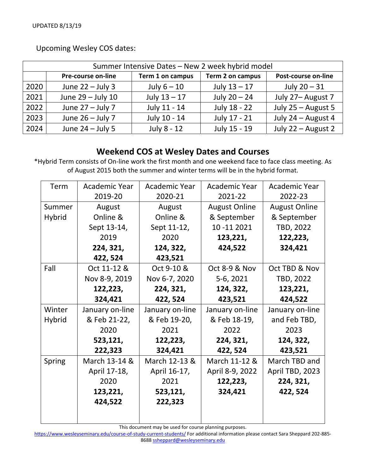| Summer Intensive Dates - New 2 week hybrid model |                    |                  |                  |                     |  |  |  |
|--------------------------------------------------|--------------------|------------------|------------------|---------------------|--|--|--|
|                                                  | Pre-course on-line | Term 1 on campus | Term 2 on campus | Post-course on-line |  |  |  |
| 2020                                             | June $22 -$ July 3 | July $6 - 10$    | July $13 - 17$   | July $20 - 31$      |  |  |  |
| 2021                                             | June 29 - July 10  | July $13 - 17$   | July $20 - 24$   | July 27- August 7   |  |  |  |
| 2022                                             | June $27 -$ July 7 | July 11 - 14     | July 18 - 22     | July 25 - August 5  |  |  |  |
| 2023                                             | June $26 -$ July 7 | July 10 - 14     | July 17 - 21     | July 24 - August 4  |  |  |  |
| 2024                                             | June $24 -$ July 5 | July 8 - 12      | July 15 - 19     | July 22 - August 2  |  |  |  |

Upcoming Wesley COS dates:

## **Weekend COS at Wesley Dates and Courses**

\*Hybrid Term consists of On‐line work the first month and one weekend face to face class meeting. As of August 2015 both the summer and winter terms will be in the hybrid format.

| Term          | Academic Year   | Academic Year   | Academic Year            | Academic Year        |
|---------------|-----------------|-----------------|--------------------------|----------------------|
|               | 2019-20         | 2020-21         | 2021-22                  | 2022-23              |
| Summer        | August          | August          | <b>August Online</b>     | <b>August Online</b> |
| <b>Hybrid</b> | Online &        | Online &        | & September              | & September          |
|               | Sept 13-14,     | Sept 11-12,     | 10 - 11 2021             | TBD, 2022            |
|               | 2019            | 2020            | 123,221,                 | 122,223,             |
|               | 224, 321,       | 124, 322,       | 424,522                  | 324,421              |
|               | 422, 524        | 423,521         |                          |                      |
| Fall          | Oct 11-12 &     | Oct 9-10 &      | <b>Oct 8-9 &amp; Nov</b> | Oct TBD & Nov        |
|               | Nov 8-9, 2019   | Nov 6-7, 2020   | 5-6, 2021                | TBD, 2022            |
|               | 122,223,        | 224, 321,       | 124, 322,                | 123,221,             |
|               | 324,421         | 422, 524        | 423,521                  | 424,522              |
| Winter        | January on-line | January on-line | January on-line          | January on-line      |
| <b>Hybrid</b> | & Feb 21-22,    | & Feb 19-20,    | & Feb 18-19,             | and Feb TBD,         |
|               | 2020            | 2021            | 2022                     | 2023                 |
|               | 523,121,        | 122,223,        | 224, 321,                | 124, 322,            |
|               | 222,323         | 324,421         | 422, 524                 | 423,521              |
| Spring        | March 13-14 &   | March 12-13 &   | March 11-12 &            | March TBD and        |
|               | April 17-18,    | April 16-17,    | April 8-9, 2022          | April TBD, 2023      |
|               | 2020            | 2021            | 122,223,                 | 224, 321,            |
|               | 123,221,        | 523,121,        | 324,421                  | 422, 524             |
|               | 424,522         | 222,323         |                          |                      |
|               |                 |                 |                          |                      |
|               |                 |                 |                          |                      |

This document may be used for course planning purposes.

https://www.wesleyseminary.edu/course-of-study-current-students/ For additional information please contact Sara Sheppard 202-885-8688 ssheppard@wesleyseminary.edu